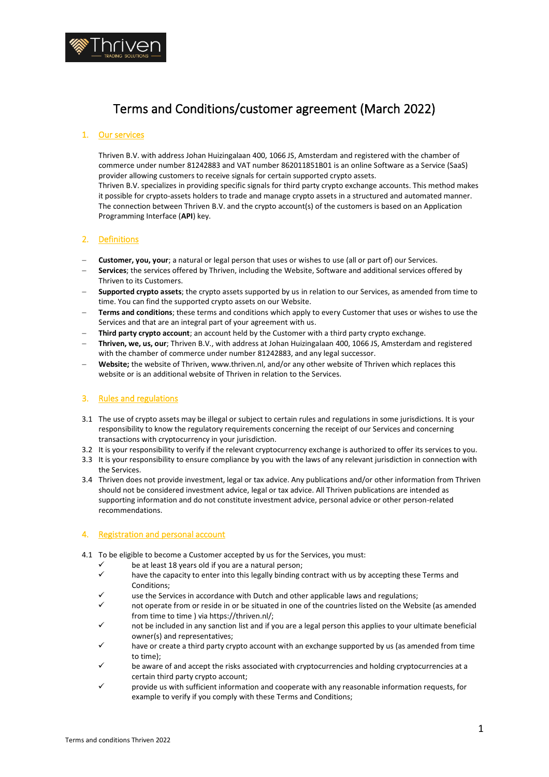

# Terms and Conditions/customer agreement (March 2022)

## 1. Our services

Thriven B.V. with address Johan Huizingalaan 400, 1066 JS, Amsterdam and registered with the chamber of commerce under number 81242883 and VAT number 862011851B01 is an online Software as a Service (SaaS) provider allowing customers to receive signals for certain supported crypto assets.

Thriven B.V. specializes in providing specific signals for third party crypto exchange accounts. This method makes it possible for crypto-assets holders to trade and manage crypto assets in a structured and automated manner. The connection between Thriven B.V. and the crypto account(s) of the customers is based on an Application Programming Interface (**API**) key.

## 2. Definitions

- − **Customer, you, your**; a natural or legal person that uses or wishes to use (all or part of) our Services.
- − **Services**; the services offered by Thriven, including the Website, Software and additional services offered by Thriven to its Customers.
- − **Supported crypto assets**; the crypto assets supported by us in relation to our Services, as amended from time to time. You can find the supported crypto assets on our Website.
- − **Terms and conditions**; these terms and conditions which apply to every Customer that uses or wishes to use the Services and that are an integral part of your agreement with us.
- Third party crypto account; an account held by the Customer with a third party crypto exchange.
- − **Thriven, we, us, our**; Thriven B.V., with address at Johan Huizingalaan 400, 1066 JS, Amsterdam and registered with the chamber of commerce under number 81242883, and any legal successor.
- Website; the website of Thriven, www.thriven.nl, and/or any other website of Thriven which replaces this website or is an additional website of Thriven in relation to the Services.

# 3. Rules and regulations

- 3.1 The use of crypto assets may be illegal or subject to certain rules and regulations in some jurisdictions. It is your responsibility to know the regulatory requirements concerning the receipt of our Services and concerning transactions with cryptocurrency in your jurisdiction.
- 3.2 It is your responsibility to verify if the relevant cryptocurrency exchange is authorized to offer its services to you.
- 3.3 It is your responsibility to ensure compliance by you with the laws of any relevant jurisdiction in connection with the Services.
- 3.4 Thriven does not provide investment, legal or tax advice. Any publications and/or other information from Thriven should not be considered investment advice, legal or tax advice. All Thriven publications are intended as supporting information and do not constitute investment advice, personal advice or other person-related recommendations.

## 4. Registration and personal account

- 4.1 To be eligible to become a Customer accepted by us for the Services, you must:
	- $\checkmark$  be at least 18 years old if you are a natural person;<br> $\checkmark$  beyond the conceitude enter into this legally binding a
	- have the capacity to enter into this legally binding contract with us by accepting these Terms and Conditions;
	- use the Services in accordance with Dutch and other applicable laws and regulations;
	- not operate from or reside in or be situated in one of the countries listed on the Website (as amended from time to time ) via https://thriven.nl/;
	- not be included in any sanction list and if you are a legal person this applies to your ultimate beneficial owner(s) and representatives;
	- have or create a third party crypto account with an exchange supported by us (as amended from time to time);
	- be aware of and accept the risks associated with cryptocurrencies and holding cryptocurrencies at a certain third party crypto account;
	- provide us with sufficient information and cooperate with any reasonable information requests, for example to verify if you comply with these Terms and Conditions;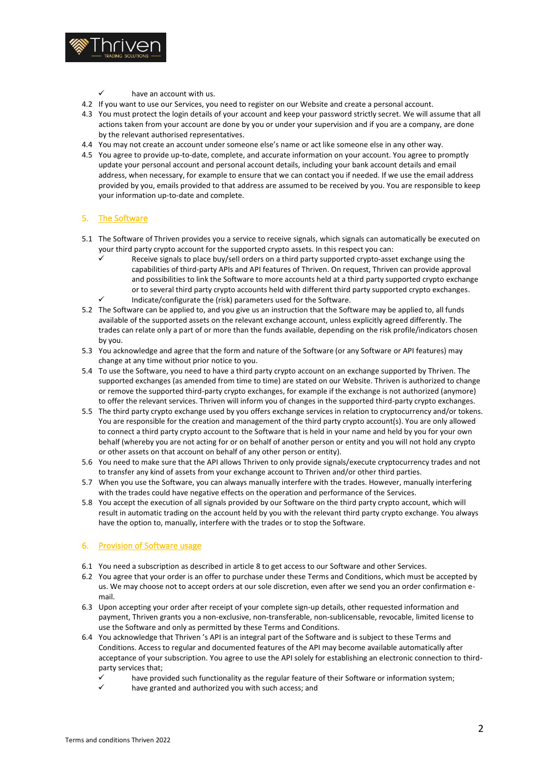

- have an account with us.
- 4.2 If you want to use our Services, you need to register on our Website and create a personal account.
- 4.3 You must protect the login details of your account and keep your password strictly secret. We will assume that all actions taken from your account are done by you or under your supervision and if you are a company, are done by the relevant authorised representatives.
- 4.4 You may not create an account under someone else's name or act like someone else in any other way.
- 4.5 You agree to provide up-to-date, complete, and accurate information on your account. You agree to promptly update your personal account and personal account details, including your bank account details and email address, when necessary, for example to ensure that we can contact you if needed. If we use the email address provided by you, emails provided to that address are assumed to be received by you. You are responsible to keep your information up-to-date and complete.

## 5. The Software

- 5.1 The Software of Thriven provides you a service to receive signals, which signals can automatically be executed on your third party crypto account for the supported crypto assets. In this respect you can:
	- Receive signals to place buy/sell orders on a third party supported crypto-asset exchange using the capabilities of third-party APIs and API features of Thriven. On request, Thriven can provide approval and possibilities to link the Software to more accounts held at a third party supported crypto exchange or to several third party crypto accounts held with different third party supported crypto exchanges.
	- Indicate/configurate the (risk) parameters used for the Software.
- 5.2 The Software can be applied to, and you give us an instruction that the Software may be applied to, all funds available of the supported assets on the relevant exchange account, unless explicitly agreed differently. The trades can relate only a part of or more than the funds available, depending on the risk profile/indicators chosen by you.
- 5.3 You acknowledge and agree that the form and nature of the Software (or any Software or API features) may change at any time without prior notice to you.
- 5.4 To use the Software, you need to have a third party crypto account on an exchange supported by Thriven. The supported exchanges (as amended from time to time) are stated on our Website. Thriven is authorized to change or remove the supported third-party crypto exchanges, for example if the exchange is not authorized (anymore) to offer the relevant services. Thriven will inform you of changes in the supported third-party crypto exchanges.
- 5.5 The third party crypto exchange used by you offers exchange services in relation to cryptocurrency and/or tokens. You are responsible for the creation and management of the third party crypto account(s). You are only allowed to connect a third party crypto account to the Software that is held in your name and held by you for your own behalf (whereby you are not acting for or on behalf of another person or entity and you will not hold any crypto or other assets on that account on behalf of any other person or entity).
- 5.6 You need to make sure that the API allows Thriven to only provide signals/execute cryptocurrency trades and not to transfer any kind of assets from your exchange account to Thriven and/or other third parties.
- 5.7 When you use the Software, you can always manually interfere with the trades. However, manually interfering with the trades could have negative effects on the operation and performance of the Services.
- 5.8 You accept the execution of all signals provided by our Software on the third party crypto account, which will result in automatic trading on the account held by you with the relevant third party crypto exchange. You always have the option to, manually, interfere with the trades or to stop the Software.

## 6. Provision of Software usage

- 6.1 You need a subscription as described in articl[e 8](#page-2-0) to get access to our Software and other Services.
- 6.2 You agree that your order is an offer to purchase under these Terms and Conditions, which must be accepted by us. We may choose not to accept orders at our sole discretion, even after we send you an order confirmation email.
- 6.3 Upon accepting your order after receipt of your complete sign-up details, other requested information and payment, Thriven grants you a non-exclusive, non-transferable, non-sublicensable, revocable, limited license to use the Software and only as permitted by these Terms and Conditions.
- 6.4 You acknowledge that Thriven 's API is an integral part of the Software and is subject to these Terms and Conditions. Access to regular and documented features of the API may become available automatically after acceptance of your subscription. You agree to use the API solely for establishing an electronic connection to thirdparty services that;
	- $\checkmark$  have provided such functionality as the regular feature of their Software or information system;
	- have granted and authorized you with such access; and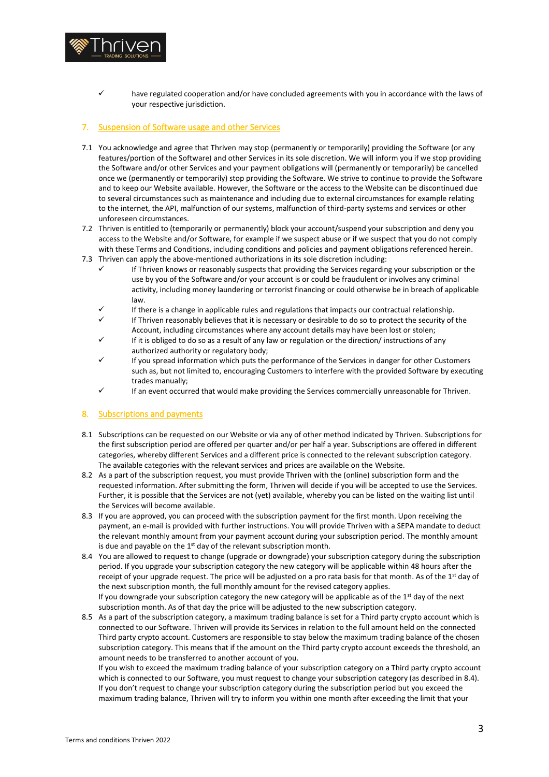

have regulated cooperation and/or have concluded agreements with you in accordance with the laws of your respective jurisdiction.

#### 7. Suspension of Software usage and other Services

- 7.1 You acknowledge and agree that Thriven may stop (permanently or temporarily) providing the Software (or any features/portion of the Software) and other Services in its sole discretion. We will inform you if we stop providing the Software and/or other Services and your payment obligations will (permanently or temporarily) be cancelled once we (permanently or temporarily) stop providing the Software. We strive to continue to provide the Software and to keep our Website available. However, the Software or the access to the Website can be discontinued due to several circumstances such as maintenance and including due to external circumstances for example relating to the internet, the API, malfunction of our systems, malfunction of third-party systems and services or other unforeseen circumstances.
- 7.2 Thriven is entitled to (temporarily or permanently) block your account/suspend your subscription and deny you access to the Website and/or Software, for example if we suspect abuse or if we suspect that you do not comply with these Terms and Conditions, including conditions and policies and payment obligations referenced herein.
- 7.3 Thriven can apply the above-mentioned authorizations in its sole discretion including:
	- If Thriven knows or reasonably suspects that providing the Services regarding your subscription or the use by you of the Software and/or your account is or could be fraudulent or involves any criminal activity, including money laundering or terrorist financing or could otherwise be in breach of applicable law.
	- If there is a change in applicable rules and regulations that impacts our contractual relationship.
	- If Thriven reasonably believes that it is necessary or desirable to do so to protect the security of the Account, including circumstances where any account details may have been lost or stolen;
	- If it is obliged to do so as a result of any law or regulation or the direction/ instructions of any authorized authority or regulatory body;
	- If you spread information which puts the performance of the Services in danger for other Customers such as, but not limited to, encouraging Customers to interfere with the provided Software by executing trades manually;
	- If an event occurred that would make providing the Services commercially unreasonable for Thriven.

#### <span id="page-2-0"></span>8. Subscriptions and payments

- 8.1 Subscriptions can be requested on our Website or via any of other method indicated by Thriven. Subscriptions for the first subscription period are offered per quarter and/or per half a year. Subscriptions are offered in different categories, whereby different Services and a different price is connected to the relevant subscription category. The available categories with the relevant services and prices are available on the Website.
- 8.2 As a part of the subscription request, you must provide Thriven with the (online) subscription form and the requested information. After submitting the form, Thriven will decide if you will be accepted to use the Services. Further, it is possible that the Services are not (yet) available, whereby you can be listed on the waiting list until the Services will become available.
- 8.3 If you are approved, you can proceed with the subscription payment for the first month. Upon receiving the payment, an e-mail is provided with further instructions. You will provide Thriven with a SEPA mandate to deduct the relevant monthly amount from your payment account during your subscription period. The monthly amount is due and payable on the  $1<sup>st</sup>$  day of the relevant subscription month.
- <span id="page-2-1"></span>8.4 You are allowed to request to change (upgrade or downgrade) your subscription category during the subscription period. If you upgrade your subscription category the new category will be applicable within 48 hours after the receipt of your upgrade request. The price will be adjusted on a pro rata basis for that month. As of the  $1^{st}$  day of the next subscription month, the full monthly amount for the revised category applies. If you downgrade your subscription category the new category will be applicable as of the  $1<sup>st</sup>$  day of the next subscription month. As of that day the price will be adjusted to the new subscription category.
- 8.5 As a part of the subscription category, a maximum trading balance is set for a Third party crypto account which is connected to our Software. Thriven will provide its Services in relation to the full amount held on the connected Third party crypto account. Customers are responsible to stay below the maximum trading balance of the chosen subscription category. This means that if the amount on the Third party crypto account exceeds the threshold, an amount needs to be transferred to another account of you.

If you wish to exceed the maximum trading balance of your subscription category on a Third party crypto account which is connected to our Software, you must request to change your subscription category (as described in 8.4). If you don't request to change your subscription category during the subscription period but you exceed the maximum trading balance, Thriven will try to inform you within one month after exceeding the limit that your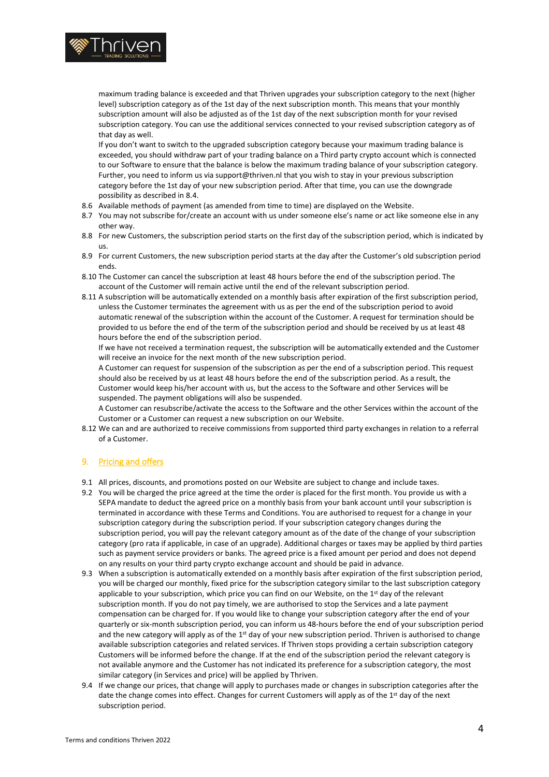

maximum trading balance is exceeded and that Thriven upgrades your subscription category to the next (higher level) subscription category as of the 1st day of the next subscription month. This means that your monthly subscription amount will also be adjusted as of the 1st day of the next subscription month for your revised subscription category. You can use the additional services connected to your revised subscription category as of that day as well.

If you don't want to switch to the upgraded subscription category because your maximum trading balance is exceeded, you should withdraw part of your trading balance on a Third party crypto account which is connected to our Software to ensure that the balance is below the maximum trading balance of your subscription category. Further, you need to inform us via support@thriven.nl that you wish to stay in your previous subscription category before the 1st day of your new subscription period. After that time, you can use the downgrade possibility as described in [8.4.](#page-2-1) 

- 8.6 Available methods of payment (as amended from time to time) are displayed on the Website.
- 8.7 You may not subscribe for/create an account with us under someone else's name or act like someone else in any other way.
- 8.8 For new Customers, the subscription period starts on the first day of the subscription period, which is indicated by us.
- 8.9 For current Customers, the new subscription period starts at the day after the Customer's old subscription period ends.
- 8.10 The Customer can cancel the subscription at least 48 hours before the end of the subscription period. The account of the Customer will remain active until the end of the relevant subscription period.
- 8.11 A subscription will be automatically extended on a monthly basis after expiration of the first subscription period, unless the Customer terminates the agreement with us as per the end of the subscription period to avoid automatic renewal of the subscription within the account of the Customer. A request for termination should be provided to us before the end of the term of the subscription period and should be received by us at least 48 hours before the end of the subscription period.

If we have not received a termination request, the subscription will be automatically extended and the Customer will receive an invoice for the next month of the new subscription period.

A Customer can request for suspension of the subscription as per the end of a subscription period. This request should also be received by us at least 48 hours before the end of the subscription period. As a result, the Customer would keep his/her account with us, but the access to the Software and other Services will be suspended. The payment obligations will also be suspended.

A Customer can resubscribe/activate the access to the Software and the other Services within the account of the Customer or a Customer can request a new subscription on our Website.

8.12 We can and are authorized to receive commissions from supported third party exchanges in relation to a referral of a Customer.

## 9. Pricing and offers

- 9.1 All prices, discounts, and promotions posted on our Website are subject to change and include taxes.
- 9.2 You will be charged the price agreed at the time the order is placed for the first month. You provide us with a SEPA mandate to deduct the agreed price on a monthly basis from your bank account until your subscription is terminated in accordance with these Terms and Conditions. You are authorised to request for a change in your subscription category during the subscription period. If your subscription category changes during the subscription period, you will pay the relevant category amount as of the date of the change of your subscription category (pro rata if applicable, in case of an upgrade). Additional charges or taxes may be applied by third parties such as payment service providers or banks. The agreed price is a fixed amount per period and does not depend on any results on your third party crypto exchange account and should be paid in advance.
- 9.3 When a subscription is automatically extended on a monthly basis after expiration of the first subscription period, you will be charged our monthly, fixed price for the subscription category similar to the last subscription category applicable to your subscription, which price you can find on our Website, on the  $1<sup>st</sup>$  day of the relevant subscription month. If you do not pay timely, we are authorised to stop the Services and a late payment compensation can be charged for. If you would like to change your subscription category after the end of your quarterly or six-month subscription period, you can inform us 48-hours before the end of your subscription period and the new category will apply as of the 1<sup>st</sup> day of your new subscription period. Thriven is authorised to change available subscription categories and related services. If Thriven stops providing a certain subscription category Customers will be informed before the change. If at the end of the subscription period the relevant category is not available anymore and the Customer has not indicated its preference for a subscription category, the most similar category (in Services and price) will be applied by Thriven.
- 9.4 If we change our prices, that change will apply to purchases made or changes in subscription categories after the date the change comes into effect. Changes for current Customers will apply as of the 1<sup>st</sup> day of the next subscription period.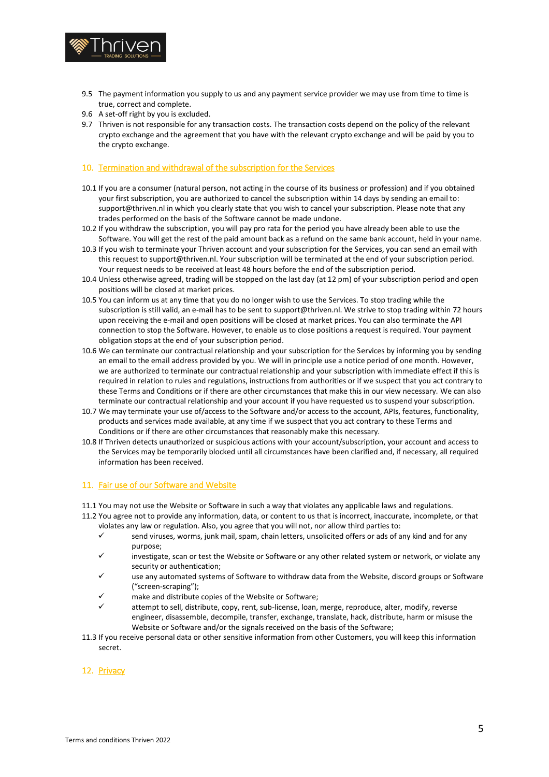

- 9.5 The payment information you supply to us and any payment service provider we may use from time to time is true, correct and complete.
- 9.6 A set-off right by you is excluded.
- 9.7 Thriven is not responsible for any transaction costs. The transaction costs depend on the policy of the relevant crypto exchange and the agreement that you have with the relevant crypto exchange and will be paid by you to the crypto exchange.

#### 10. Termination and withdrawal of the subscription for the Services

- 10.1 If you are a consumer (natural person, not acting in the course of its business or profession) and if you obtained your first subscription, you are authorized to cancel the subscription within 14 days by sending an email to: support@thriven.nl in which you clearly state that you wish to cancel your subscription. Please note that any trades performed on the basis of the Software cannot be made undone.
- 10.2 If you withdraw the subscription, you will pay pro rata for the period you have already been able to use the Software. You will get the rest of the paid amount back as a refund on the same bank account, held in your name.
- 10.3 If you wish to terminate your Thriven account and your subscription for the Services, you can send an email with this request to support@thriven.nl. Your subscription will be terminated at the end of your subscription period. Your request needs to be received at least 48 hours before the end of the subscription period.
- 10.4 Unless otherwise agreed, trading will be stopped on the last day (at 12 pm) of your subscription period and open positions will be closed at market prices.
- 10.5 You can inform us at any time that you do no longer wish to use the Services. To stop trading while the subscription is still valid, an e-mail has to be sent to support@thriven.nl. We strive to stop trading within 72 hours upon receiving the e-mail and open positions will be closed at market prices. You can also terminate the API connection to stop the Software. However, to enable us to close positions a request is required. Your payment obligation stops at the end of your subscription period.
- 10.6 We can terminate our contractual relationship and your subscription for the Services by informing you by sending an email to the email address provided by you. We will in principle use a notice period of one month. However, we are authorized to terminate our contractual relationship and your subscription with immediate effect if this is required in relation to rules and regulations, instructions from authorities or if we suspect that you act contrary to these Terms and Conditions or if there are other circumstances that make this in our view necessary. We can also terminate our contractual relationship and your account if you have requested us to suspend your subscription.
- 10.7 We may terminate your use of/access to the Software and/or access to the account, APIs, features, functionality, products and services made available, at any time if we suspect that you act contrary to these Terms and Conditions or if there are other circumstances that reasonably make this necessary.
- 10.8 If Thriven detects unauthorized or suspicious actions with your account/subscription, your account and access to the Services may be temporarily blocked until all circumstances have been clarified and, if necessary, all required information has been received.

#### 11. Fair use of our Software and Website

- 11.1 You may not use the Website or Software in such a way that violates any applicable laws and regulations.
- 11.2 You agree not to provide any information, data, or content to us that is incorrect, inaccurate, incomplete, or that violates any law or regulation. Also, you agree that you will not, nor allow third parties to:
	- $\checkmark$  send viruses, worms, junk mail, spam, chain letters, unsolicited offers or ads of any kind and for any purpose;
	- ✓ investigate, scan or test the Website or Software or any other related system or network, or violate any security or authentication;
	- use any automated systems of Software to withdraw data from the Website, discord groups or Software ("screen-scraping");
	- make and distribute copies of the Website or Software;
	- attempt to sell, distribute, copy, rent, sub-license, loan, merge, reproduce, alter, modify, reverse engineer, disassemble, decompile, transfer, exchange, translate, hack, distribute, harm or misuse the Website or Software and/or the signals received on the basis of the Software;
- 11.3 If you receive personal data or other sensitive information from other Customers, you will keep this information secret.

## 12. Privacy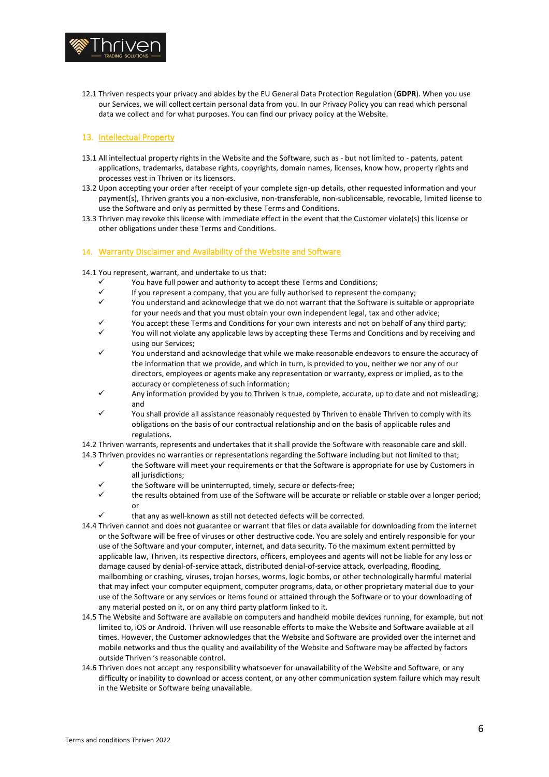

12.1 Thriven respects your privacy and abides by the EU General Data Protection Regulation (**GDPR**). When you use our Services, we will collect certain personal data from you. In our Privacy Policy you can read which personal data we collect and for what purposes. You can find our privacy policy at the Website.

## 13. Intellectual Property

- 13.1 All intellectual property rights in the Website and the Software, such as but not limited to patents, patent applications, trademarks, database rights, copyrights, domain names, licenses, know how, property rights and processes vest in Thriven or its licensors.
- 13.2 Upon accepting your order after receipt of your complete sign-up details, other requested information and your payment(s), Thriven grants you a non-exclusive, non-transferable, non-sublicensable, revocable, limited license to use the Software and only as permitted by these Terms and Conditions.
- 13.3 Thriven may revoke this license with immediate effect in the event that the Customer violate(s) this license or other obligations under these Terms and Conditions.

#### 14. Warranty Disclaimer and Availability of the Website and Software

14.1 You represent, warrant, and undertake to us that:

- ✓ You have full power and authority to accept these Terms and Conditions;
- ✓ If you represent a company, that you are fully authorised to represent the company;
- You understand and acknowledge that we do not warrant that the Software is suitable or appropriate for your needs and that you must obtain your own independent legal, tax and other advice;
- You accept these Terms and Conditions for your own interests and not on behalf of any third party;
- ✓ You will not violate any applicable laws by accepting these Terms and Conditions and by receiving and using our Services;
- You understand and acknowledge that while we make reasonable endeavors to ensure the accuracy of the information that we provide, and which in turn, is provided to you, neither we nor any of our directors, employees or agents make any representation or warranty, express or implied, as to the accuracy or completeness of such information;
- Any information provided by you to Thriven is true, complete, accurate, up to date and not misleading; and
- ✓ You shall provide all assistance reasonably requested by Thriven to enable Thriven to comply with its obligations on the basis of our contractual relationship and on the basis of applicable rules and regulations.

14.2 Thriven warrants, represents and undertakes that it shall provide the Software with reasonable care and skill. 14.3 Thriven provides no warranties or representations regarding the Software including but not limited to that;

- the Software will meet your requirements or that the Software is appropriate for use by Customers in all jurisdictions;
- the Software will be uninterrupted, timely, secure or defects-free;
- the results obtained from use of the Software will be accurate or reliable or stable over a longer period; or
- that any as well-known as still not detected defects will be corrected.
- 14.4 Thriven cannot and does not guarantee or warrant that files or data available for downloading from the internet or the Software will be free of viruses or other destructive code. You are solely and entirely responsible for your use of the Software and your computer, internet, and data security. To the maximum extent permitted by applicable law, Thriven, its respective directors, officers, employees and agents will not be liable for any loss or damage caused by denial-of-service attack, distributed denial-of-service attack, overloading, flooding, mailbombing or crashing, viruses, trojan horses, worms, logic bombs, or other technologically harmful material that may infect your computer equipment, computer programs, data, or other proprietary material due to your use of the Software or any services or items found or attained through the Software or to your downloading of any material posted on it, or on any third party platform linked to it.
- 14.5 The Website and Software are available on computers and handheld mobile devices running, for example, but not limited to, iOS or Android. Thriven will use reasonable efforts to make the Website and Software available at all times. However, the Customer acknowledges that the Website and Software are provided over the internet and mobile networks and thus the quality and availability of the Website and Software may be affected by factors outside Thriven 's reasonable control.
- 14.6 Thriven does not accept any responsibility whatsoever for unavailability of the Website and Software, or any difficulty or inability to download or access content, or any other communication system failure which may result in the Website or Software being unavailable.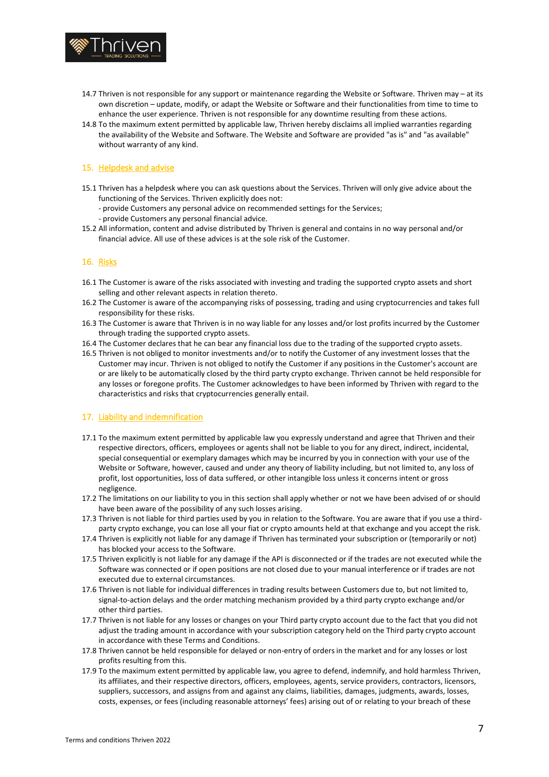

- 14.7 Thriven is not responsible for any support or maintenance regarding the Website or Software. Thriven may at its own discretion – update, modify, or adapt the Website or Software and their functionalities from time to time to enhance the user experience. Thriven is not responsible for any downtime resulting from these actions.
- 14.8 To the maximum extent permitted by applicable law, Thriven hereby disclaims all implied warranties regarding the availability of the Website and Software. The Website and Software are provided "as is" and "as available" without warranty of any kind.

## 15. Helpdesk and advise

- 15.1 Thriven has a helpdesk where you can ask questions about the Services. Thriven will only give advice about the functioning of the Services. Thriven explicitly does not:
	- provide Customers any personal advice on recommended settings for the Services;
	- provide Customers any personal financial advice.
- 15.2 All information, content and advise distributed by Thriven is general and contains in no way personal and/or financial advice. All use of these advices is at the sole risk of the Customer.

## 16. Risks

- 16.1 The Customer is aware of the risks associated with investing and trading the supported crypto assets and short selling and other relevant aspects in relation thereto.
- 16.2 The Customer is aware of the accompanying risks of possessing, trading and using cryptocurrencies and takes full responsibility for these risks.
- 16.3 The Customer is aware that Thriven is in no way liable for any losses and/or lost profits incurred by the Customer through trading the supported crypto assets.
- 16.4 The Customer declares that he can bear any financial loss due to the trading of the supported crypto assets.
- 16.5 Thriven is not obliged to monitor investments and/or to notify the Customer of any investment losses that the Customer may incur. Thriven is not obliged to notify the Customer if any positions in the Customer's account are or are likely to be automatically closed by the third party crypto exchange. Thriven cannot be held responsible for any losses or foregone profits. The Customer acknowledges to have been informed by Thriven with regard to the characteristics and risks that cryptocurrencies generally entail.

#### 17. Liability and indemnification

- 17.1 To the maximum extent permitted by applicable law you expressly understand and agree that Thriven and their respective directors, officers, employees or agents shall not be liable to you for any direct, indirect, incidental, special consequential or exemplary damages which may be incurred by you in connection with your use of the Website or Software, however, caused and under any theory of liability including, but not limited to, any loss of profit, lost opportunities, loss of data suffered, or other intangible loss unless it concerns intent or gross negligence.
- 17.2 The limitations on our liability to you in this section shall apply whether or not we have been advised of or should have been aware of the possibility of any such losses arising.
- 17.3 Thriven is not liable for third parties used by you in relation to the Software. You are aware that if you use a thirdparty crypto exchange, you can lose all your fiat or crypto amounts held at that exchange and you accept the risk.
- 17.4 Thriven is explicitly not liable for any damage if Thriven has terminated your subscription or (temporarily or not) has blocked your access to the Software.
- 17.5 Thriven explicitly is not liable for any damage if the API is disconnected or if the trades are not executed while the Software was connected or if open positions are not closed due to your manual interference or if trades are not executed due to external circumstances.
- 17.6 Thriven is not liable for individual differences in trading results between Customers due to, but not limited to, signal-to-action delays and the order matching mechanism provided by a third party crypto exchange and/or other third parties.
- 17.7 Thriven is not liable for any losses or changes on your Third party crypto account due to the fact that you did not adjust the trading amount in accordance with your subscription category held on the Third party crypto account in accordance with these Terms and Conditions.
- 17.8 Thriven cannot be held responsible for delayed or non-entry of orders in the market and for any losses or lost profits resulting from this.
- 17.9 To the maximum extent permitted by applicable law, you agree to defend, indemnify, and hold harmless Thriven, its affiliates, and their respective directors, officers, employees, agents, service providers, contractors, licensors, suppliers, successors, and assigns from and against any claims, liabilities, damages, judgments, awards, losses, costs, expenses, or fees (including reasonable attorneys' fees) arising out of or relating to your breach of these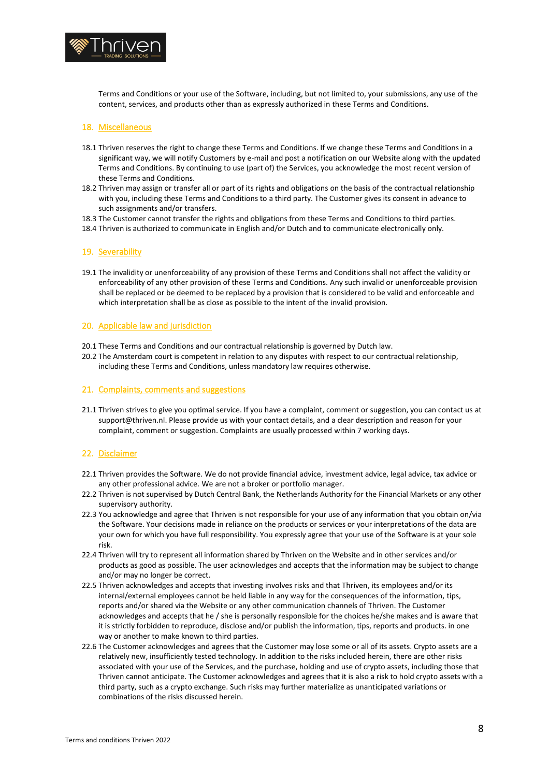

Terms and Conditions or your use of the Software, including, but not limited to, your submissions, any use of the content, services, and products other than as expressly authorized in these Terms and Conditions.

#### 18. Miscellaneous

- 18.1 Thriven reserves the right to change these Terms and Conditions. If we change these Terms and Conditions in a significant way, we will notify Customers by e-mail and post a notification on our Website along with the updated Terms and Conditions. By continuing to use (part of) the Services, you acknowledge the most recent version of these Terms and Conditions.
- 18.2 Thriven may assign or transfer all or part of its rights and obligations on the basis of the contractual relationship with you, including these Terms and Conditions to a third party. The Customer gives its consent in advance to such assignments and/or transfers.
- 18.3 The Customer cannot transfer the rights and obligations from these Terms and Conditions to third parties.
- 18.4 Thriven is authorized to communicate in English and/or Dutch and to communicate electronically only.

#### 19. Severability

19.1 The invalidity or unenforceability of any provision of these Terms and Conditions shall not affect the validity or enforceability of any other provision of these Terms and Conditions. Any such invalid or unenforceable provision shall be replaced or be deemed to be replaced by a provision that is considered to be valid and enforceable and which interpretation shall be as close as possible to the intent of the invalid provision.

#### 20. Applicable law and jurisdiction

- 20.1 These Terms and Conditions and our contractual relationship is governed by Dutch law.
- 20.2 The Amsterdam court is competent in relation to any disputes with respect to our contractual relationship, including these Terms and Conditions, unless mandatory law requires otherwise.

#### 21. Complaints, comments and suggestions

21.1 Thriven strives to give you optimal service. If you have a complaint, comment or suggestion, you can contact us at support@thriven.nl. Please provide us with your contact details, and a clear description and reason for your complaint, comment or suggestion. Complaints are usually processed within 7 working days.

#### 22. Disclaimer

- 22.1 Thriven provides the Software. We do not provide financial advice, investment advice, legal advice, tax advice or any other professional advice. We are not a broker or portfolio manager.
- 22.2 Thriven is not supervised by Dutch Central Bank, the Netherlands Authority for the Financial Markets or any other supervisory authority.
- 22.3 You acknowledge and agree that Thriven is not responsible for your use of any information that you obtain on/via the Software. Your decisions made in reliance on the products or services or your interpretations of the data are your own for which you have full responsibility. You expressly agree that your use of the Software is at your sole risk.
- 22.4 Thriven will try to represent all information shared by Thriven on the Website and in other services and/or products as good as possible. The user acknowledges and accepts that the information may be subject to change and/or may no longer be correct.
- 22.5 Thriven acknowledges and accepts that investing involves risks and that Thriven, its employees and/or its internal/external employees cannot be held liable in any way for the consequences of the information, tips, reports and/or shared via the Website or any other communication channels of Thriven. The Customer acknowledges and accepts that he / she is personally responsible for the choices he/she makes and is aware that it is strictly forbidden to reproduce, disclose and/or publish the information, tips, reports and products. in one way or another to make known to third parties.
- 22.6 The Customer acknowledges and agrees that the Customer may lose some or all of its assets. Crypto assets are a relatively new, insufficiently tested technology. In addition to the risks included herein, there are other risks associated with your use of the Services, and the purchase, holding and use of crypto assets, including those that Thriven cannot anticipate. The Customer acknowledges and agrees that it is also a risk to hold crypto assets with a third party, such as a crypto exchange. Such risks may further materialize as unanticipated variations or combinations of the risks discussed herein.